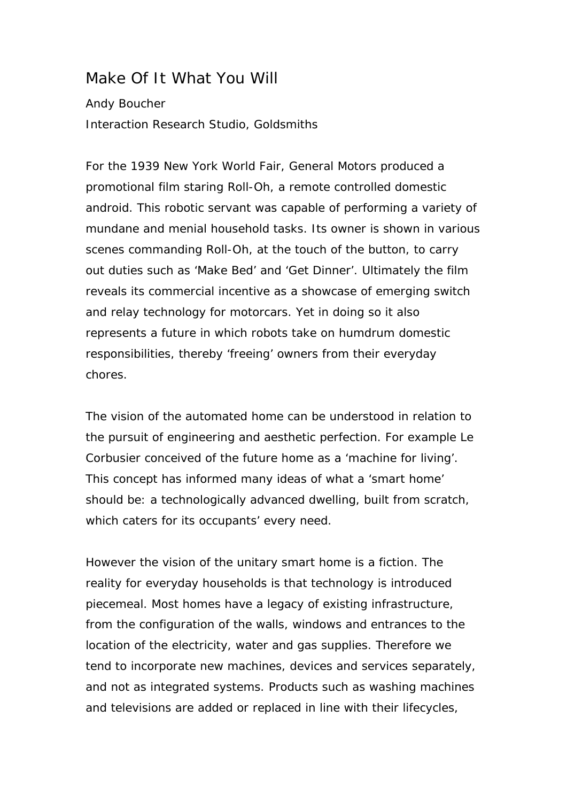## Make Of It What You Will

## Andy Boucher Interaction Research Studio, Goldsmiths

For the 1939 New York World Fair, General Motors produced a promotional film staring Roll-Oh, a remote controlled domestic android. This robotic servant was capable of performing a variety of mundane and menial household tasks. Its owner is shown in various scenes commanding Roll-Oh, at the touch of the button, to carry out duties such as 'Make Bed' and 'Get Dinner'. Ultimately the film reveals its commercial incentive as a showcase of emerging switch and relay technology for motorcars. Yet in doing so it also represents a future in which robots take on humdrum domestic responsibilities, thereby 'freeing' owners from their everyday chores.

The vision of the automated home can be understood in relation to the pursuit of engineering and aesthetic perfection. For example Le Corbusier conceived of the future home as a 'machine for living'. This concept has informed many ideas of what a 'smart home' should be: a technologically advanced dwelling, built from scratch, which caters for its occupants' every need.

However the vision of the unitary smart home is a fiction. The reality for everyday households is that technology is introduced piecemeal. Most homes have a legacy of existing infrastructure, from the configuration of the walls, windows and entrances to the location of the electricity, water and gas supplies. Therefore we tend to incorporate new machines, devices and services separately, and not as integrated systems. Products such as washing machines and televisions are added or replaced in line with their lifecycles,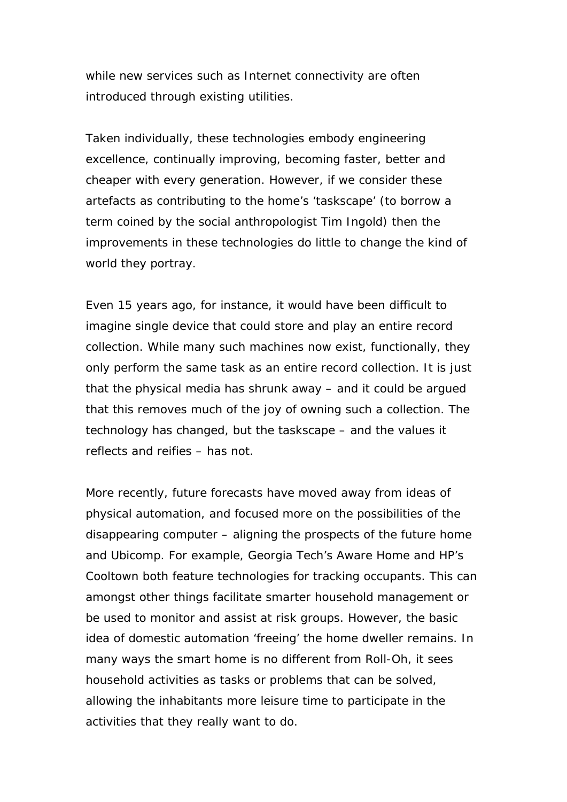while new services such as Internet connectivity are often introduced through existing utilities.

Taken individually, these technologies embody engineering excellence, continually improving, becoming faster, better and cheaper with every generation. However, if we consider these artefacts as contributing to the home's 'taskscape' (to borrow a term coined by the social anthropologist Tim Ingold) then the improvements in these technologies do little to change the kind of world they portray.

Even 15 years ago, for instance, it would have been difficult to imagine single device that could store and play an entire record collection. While many such machines now exist, functionally, they only perform the same task as an entire record collection. It is just that the physical media has shrunk away – and it could be argued that this removes much of the joy of owning such a collection. The technology has changed, but the taskscape – and the values it reflects and reifies – has not.

More recently, future forecasts have moved away from ideas of physical automation, and focused more on the possibilities of the disappearing computer – aligning the prospects of the future home and Ubicomp. For example, Georgia Tech's Aware Home and HP's Cooltown both feature technologies for tracking occupants. This can amongst other things facilitate smarter household management or be used to monitor and assist at risk groups. However, the basic idea of domestic automation 'freeing' the home dweller remains. In many ways the smart home is no different from Roll-Oh, it sees household activities as tasks or problems that can be solved, allowing the inhabitants more leisure time to participate in the activities that they really want to do.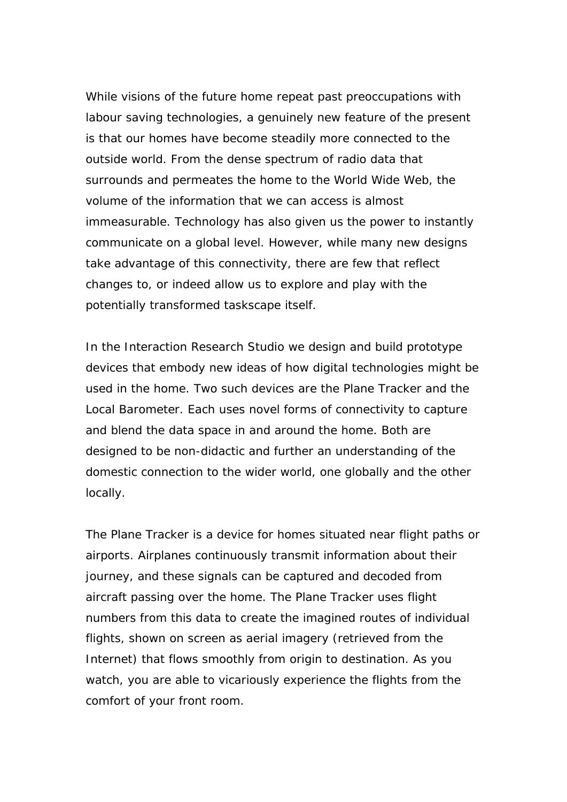While visions of the future home repeat past preoccupations with labour saving technologies, a genuinely new feature of the present is that our homes have become steadily more connected to the outside world. From the dense spectrum of radio data that surrounds and permeates the home to the World Wide Web, the volume of the information that we can access is almost immeasurable. Technology has also given us the power to instantly communicate on a global level. However, while many new designs take advantage of this connectivity, there are few that reflect changes to, or indeed allow us to explore and play with the potentially transformed taskscape itself.

In the Interaction Research Studio we design and build prototype devices that embody new ideas of how digital technologies might be used in the home. Two such devices are the Plane Tracker and the Local Barometer. Each uses novel forms of connectivity to capture and blend the data space in and around the home. Both are designed to be non-didactic and further an understanding of the domestic connection to the wider world, one globally and the other locally.

The Plane Tracker is a device for homes situated near flight paths or airports. Airplanes continuously transmit information about their journey, and these signals can be captured and decoded from aircraft passing over the home. The Plane Tracker uses flight numbers from this data to create the imagined routes of individual flights, shown on screen as aerial imagery (retrieved from the Internet) that flows smoothly from origin to destination. As you watch, you are able to vicariously experience the flights from the comfort of your front room.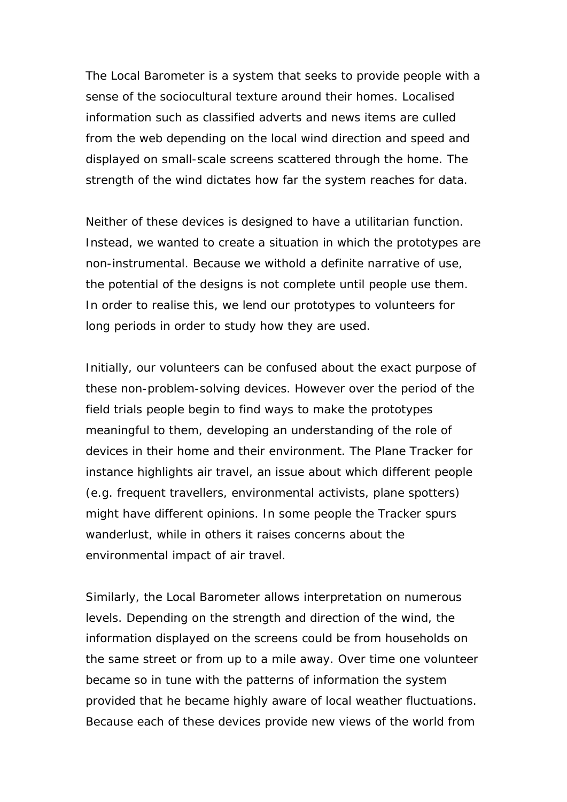The Local Barometer is a system that seeks to provide people with a sense of the sociocultural texture around their homes. Localised information such as classified adverts and news items are culled from the web depending on the local wind direction and speed and displayed on small-scale screens scattered through the home. The strength of the wind dictates how far the system reaches for data.

Neither of these devices is designed to have a utilitarian function. Instead, we wanted to create a situation in which the prototypes are non-instrumental. Because we withold a definite narrative of use, the potential of the designs is not complete until people use them. In order to realise this, we lend our prototypes to volunteers for long periods in order to study how they are used.

Initially, our volunteers can be confused about the exact purpose of these non-problem-solving devices. However over the period of the field trials people begin to find ways to make the prototypes meaningful to them, developing an understanding of the role of devices in their home and their environment. The Plane Tracker for instance highlights air travel, an issue about which different people (e.g. frequent travellers, environmental activists, plane spotters) might have different opinions. In some people the Tracker spurs wanderlust, while in others it raises concerns about the environmental impact of air travel.

Similarly, the Local Barometer allows interpretation on numerous levels. Depending on the strength and direction of the wind, the information displayed on the screens could be from households on the same street or from up to a mile away. Over time one volunteer became so in tune with the patterns of information the system provided that he became highly aware of local weather fluctuations. Because each of these devices provide new views of the world from